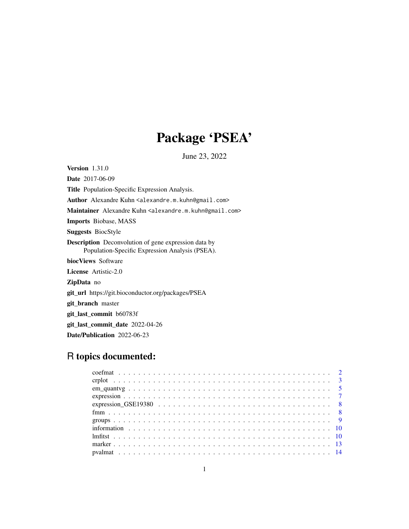# Package 'PSEA'

June 23, 2022

Version 1.31.0 Date 2017-06-09

Title Population-Specific Expression Analysis.

Author Alexandre Kuhn <alexandre.m.kuhn@gmail.com>

Maintainer Alexandre Kuhn <alexandre.m.kuhn@gmail.com>

Imports Biobase, MASS

Suggests BiocStyle

Description Deconvolution of gene expression data by Population-Specific Expression Analysis (PSEA).

biocViews Software

License Artistic-2.0

ZipData no

git\_url https://git.bioconductor.org/packages/PSEA

git\_branch master

git\_last\_commit b60783f

git\_last\_commit\_date 2022-04-26

Date/Publication 2022-06-23

# R topics documented: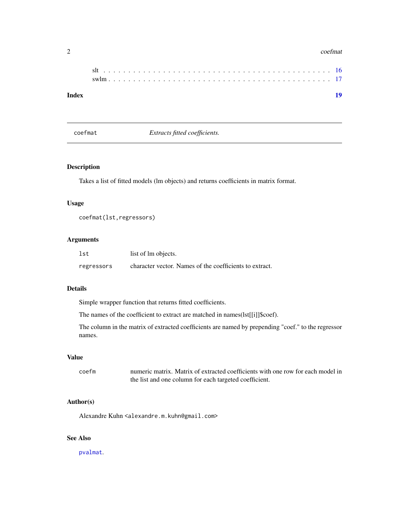#### <span id="page-1-0"></span> $2 \cos \theta$  coefmat

| Index | 19 |
|-------|----|

<span id="page-1-1"></span>coefmat *Extracts fitted coefficients.*

# Description

Takes a list of fitted models (lm objects) and returns coefficients in matrix format.

# Usage

coefmat(lst,regressors)

# Arguments

| lst        | list of lm objects.                                     |
|------------|---------------------------------------------------------|
| regressors | character vector. Names of the coefficients to extract. |

# Details

Simple wrapper function that returns fitted coefficients.

The names of the coefficient to extract are matched in names(lst[[i]]\$coef).

The column in the matrix of extracted coefficients are named by prepending "coef." to the regressor names.

# Value

coefm numeric matrix. Matrix of extracted coefficients with one row for each model in the list and one column for each targeted coefficient.

# Author(s)

Alexandre Kuhn <alexandre.m.kuhn@gmail.com>

# See Also

[pvalmat](#page-13-1).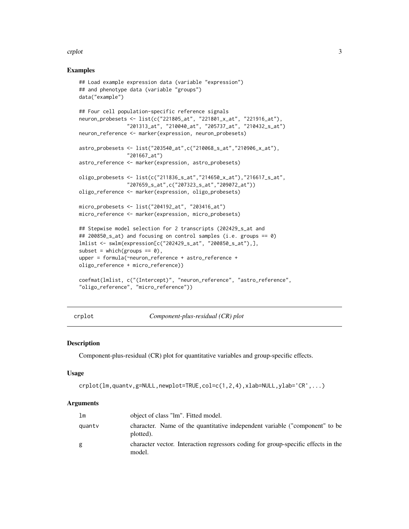#### <span id="page-2-0"></span>crplot 3

#### Examples

```
## Load example expression data (variable "expression")
## and phenotype data (variable "groups")
data("example")
## Four cell population-specific reference signals
neuron_probesets <- list(c("221805_at", "221801_x_at", "221916_at"),
                "201313_at", "210040_at", "205737_at", "210432_s_at")
neuron_reference <- marker(expression, neuron_probesets)
astro_probesets <- list("203540_at",c("210068_s_at","210906_x_at"),
                "201667_at")
astro_reference <- marker(expression, astro_probesets)
oligo_probesets <- list(c("211836_s_at","214650_x_at"),"216617_s_at",
                "207659_s_at",c("207323_s_at","209072_at"))
oligo_reference <- marker(expression, oligo_probesets)
micro_probesets <- list("204192_at", "203416_at")
micro_reference <- marker(expression, micro_probesets)
## Stepwise model selection for 2 transcripts (202429_s_at and
## 200850_s_at) and focusing on control samples (i.e. groups == 0)
lmlist <- swlm(expression[c("202429_s_at", "200850_s_at"),],
subset = which(groups == 0),upper = formula(~neuron_reference + astro_reference +
oligo_reference + micro_reference))
coefmat(lmlist, c("(Intercept)", "neuron_reference", "astro_reference",
"oligo_reference", "micro_reference"))
```
crplot *Component-plus-residual (CR) plot*

#### **Description**

Component-plus-residual (CR) plot for quantitative variables and group-specific effects.

#### Usage

```
crplot(lm,quantv,g=NULL,newplot=TRUE,col=c(1,2,4),xlab=NULL,ylab='CR',...)
```
# Arguments

| lm     | object of class "lm". Fitted model.                                                         |
|--------|---------------------------------------------------------------------------------------------|
| quantv | character. Name of the quantitative independent variable ("component" to be<br>plotted).    |
| g      | character vector. Interaction regressors coding for group-specific effects in the<br>model. |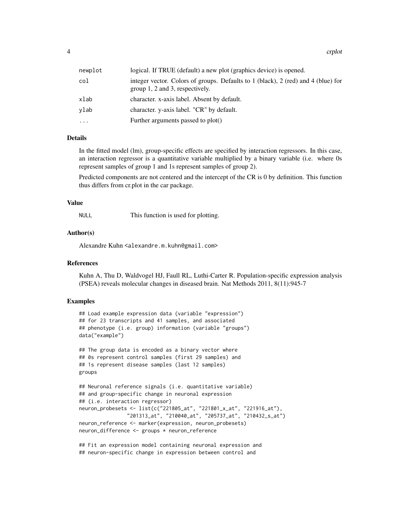4 crplot

| newplot  | logical. If TRUE (default) a new plot (graphics device) is opened.                                                   |
|----------|----------------------------------------------------------------------------------------------------------------------|
| col      | integer vector. Colors of groups. Defaults to 1 (black), 2 (red) and 4 (blue) for<br>group 1, 2 and 3, respectively. |
| xlab     | character. x-axis label. Absent by default.                                                                          |
| ylab     | character. y-axis label. "CR" by default.                                                                            |
| $\cdots$ | Further arguments passed to plot()                                                                                   |

#### Details

In the fitted model (lm), group-specific effects are specified by interaction regressors. In this case, an interaction regressor is a quantitative variable multiplied by a binary variable (i.e. where 0s represent samples of group 1 and 1s represent samples of group 2).

Predicted components are not centered and the intercept of the CR is 0 by definition. This function thus differs from cr.plot in the car package.

#### Value

NULL This function is used for plotting.

#### Author(s)

Alexandre Kuhn <alexandre.m.kuhn@gmail.com>

#### **References**

Kuhn A, Thu D, Waldvogel HJ, Faull RL, Luthi-Carter R. Population-specific expression analysis (PSEA) reveals molecular changes in diseased brain. Nat Methods 2011, 8(11):945-7

#### Examples

```
## Load example expression data (variable "expression")
## for 23 transcripts and 41 samples, and associated
## phenotype (i.e. group) information (variable "groups")
data("example")
```

```
## The group data is encoded as a binary vector where
## 0s represent control samples (first 29 samples) and
## 1s represent disease samples (last 12 samples)
groups
```

```
## Neuronal reference signals (i.e. quantitative variable)
## and group-specific change in neuronal expression
## (i.e. interaction regressor)
neuron_probesets <- list(c("221805_at", "221801_x_at", "221916_at"),
               "201313_at", "210040_at", "205737_at", "210432_s_at")
neuron_reference <- marker(expression, neuron_probesets)
neuron_difference <- groups * neuron_reference
```
## Fit an expression model containing neuronal expression and ## neuron-specific change in expression between control and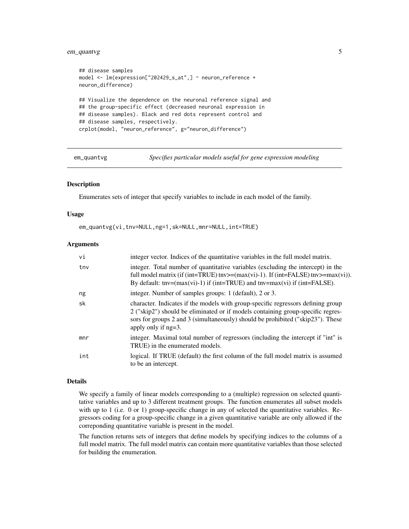# <span id="page-4-0"></span>em\_quantvg 5

```
## disease samples
model <- lm(expression["202429_s_at",] ~ neuron_reference +
neuron_difference)
## Visualize the dependence on the neuronal reference signal and
## the group-specific effect (decreased neuronal expression in
## disease samples). Black and red dots represent control and
## disease samples, respectively.
crplot(model, "neuron_reference", g="neuron_difference")
```
em\_quantvg *Specifies particular models useful for gene expression modeling*

### Description

Enumerates sets of integer that specify variables to include in each model of the family.

#### Usage

em\_quantvg(vi,tnv=NULL,ng=1,sk=NULL,mnr=NULL,int=TRUE)

#### Arguments

| vi  | integer vector. Indices of the quantitative variables in the full model matrix.                                                                                                                                                                                                                                                 |
|-----|---------------------------------------------------------------------------------------------------------------------------------------------------------------------------------------------------------------------------------------------------------------------------------------------------------------------------------|
| tny | integer. Total number of quantitative variables (excluding the intercept) in the<br>full model matrix (if (int=TRUE) tnv>=(max(vi)-1). If (int=FALSE) tnv>=max(vi)).<br>By default: $\text{tnv} = (\text{max}(vi) - 1)$ if ( $\text{int} = \text{TRUE}$ ) and $\text{tnv} = \text{max}(vi)$ if ( $\text{int} = \text{FALSE}$ ). |
| ng  | integer. Number of samples groups: 1 (default), 2 or 3.                                                                                                                                                                                                                                                                         |
| sk  | character. Indicates if the models with group-specific regressors defining group<br>2 ("skip2") should be eliminated or if models containing group-specific regres-<br>sors for groups 2 and 3 (simultaneously) should be prohibited ("skip23"). These<br>apply only if $ng=3$ .                                                |
| mnr | integer. Maximal total number of regressors (including the intercept if "int" is<br>TRUE) in the enumerated models.                                                                                                                                                                                                             |
| int | logical. If TRUE (default) the first column of the full model matrix is assumed<br>to be an intercept.                                                                                                                                                                                                                          |

#### Details

We specify a family of linear models corresponding to a (multiple) regression on selected quantitative variables and up to 3 different treatment groups. The function enumerates all subset models with up to 1 (i.e. 0 or 1) group-specific change in any of selected the quantitative variables. Regressors coding for a group-specific change in a given quantitative variable are only allowed if the correponding quantitative variable is present in the model.

The function returns sets of integers that define models by specifying indices to the columns of a full model matrix. The full model matrix can contain more quantitative variables than those selected for building the enumeration.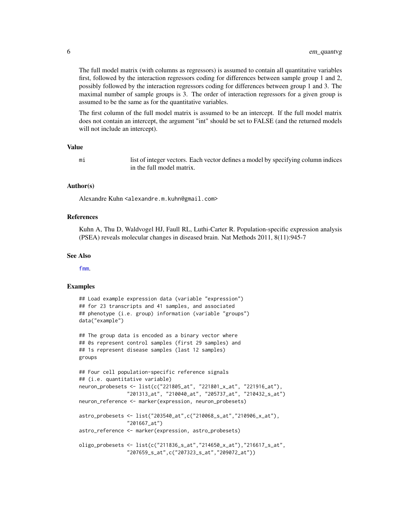<span id="page-5-0"></span>The full model matrix (with columns as regressors) is assumed to contain all quantitative variables first, followed by the interaction regressors coding for differences between sample group 1 and 2, possibly followed by the interaction regressors coding for differences between group 1 and 3. The maximal number of sample groups is 3. The order of interaction regressors for a given group is assumed to be the same as for the quantitative variables.

The first column of the full model matrix is assumed to be an intercept. If the full model matrix does not contain an intercept, the argument "int" should be set to FALSE (and the returned models will not include an intercept).

# Value

mi list of integer vectors. Each vector defines a model by specifying column indices in the full model matrix.

#### Author(s)

Alexandre Kuhn <alexandre.m.kuhn@gmail.com>

#### References

Kuhn A, Thu D, Waldvogel HJ, Faull RL, Luthi-Carter R. Population-specific expression analysis (PSEA) reveals molecular changes in diseased brain. Nat Methods 2011, 8(11):945-7

#### See Also

[fmm](#page-7-1).

```
## Load example expression data (variable "expression")
## for 23 transcripts and 41 samples, and associated
## phenotype (i.e. group) information (variable "groups")
data("example")
## The group data is encoded as a binary vector where
## 0s represent control samples (first 29 samples) and
## 1s represent disease samples (last 12 samples)
groups
## Four cell population-specific reference signals
## (i.e. quantitative variable)
neuron_probesets <- list(c("221805_at", "221801_x_at", "221916_at"),
                "201313_at", "210040_at", "205737_at", "210432_s_at")
neuron_reference <- marker(expression, neuron_probesets)
astro_probesets <- list("203540_at",c("210068_s_at","210906_x_at"),
                "201667_at")
astro_reference <- marker(expression, astro_probesets)
oligo_probesets <- list(c("211836_s_at","214650_x_at"),"216617_s_at",
                "207659_s_at",c("207323_s_at","209072_at"))
```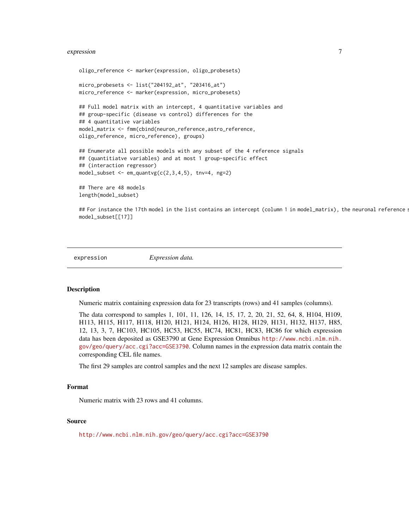#### <span id="page-6-0"></span>expression 7

```
oligo_reference <- marker(expression, oligo_probesets)
micro_probesets <- list("204192_at", "203416_at")
micro_reference <- marker(expression, micro_probesets)
## Full model matrix with an intercept, 4 quantitative variables and
## group-specific (disease vs control) differences for the
## 4 quantitative variables
model_matrix <- fmm(cbind(neuron_reference,astro_reference,
oligo_reference, micro_reference), groups)
## Enumerate all possible models with any subset of the 4 reference signals
## (quantitiatve variables) and at most 1 group-specific effect
## (interaction regressor)
model_subset \leq em_quantvg(c(2,3,4,5), tnv=4, ng=2)
## There are 48 models
length(model_subset)
```
## For instance the 17th model in the list contains an intercept (column 1 in model\_matrix), the neuronal reference s model\_subset[[17]]

expression *Expression data.*

#### Description

Numeric matrix containing expression data for 23 transcripts (rows) and 41 samples (columns).

The data correspond to samples 1, 101, 11, 126, 14, 15, 17, 2, 20, 21, 52, 64, 8, H104, H109, H113, H115, H117, H118, H120, H121, H124, H126, H128, H129, H131, H132, H137, H85, 12, 13, 3, 7, HC103, HC105, HC53, HC55, HC74, HC81, HC83, HC86 for which expression data has been deposited as GSE3790 at Gene Expression Omnibus [http://www.ncbi.nlm.nih.](http://www.ncbi.nlm.nih.gov/geo/query/acc.cgi?acc=GSE3790) [gov/geo/query/acc.cgi?acc=GSE3790](http://www.ncbi.nlm.nih.gov/geo/query/acc.cgi?acc=GSE3790). Column names in the expression data matrix contain the corresponding CEL file names.

The first 29 samples are control samples and the next 12 samples are disease samples.

### Format

Numeric matrix with 23 rows and 41 columns.

#### Source

<http://www.ncbi.nlm.nih.gov/geo/query/acc.cgi?acc=GSE3790>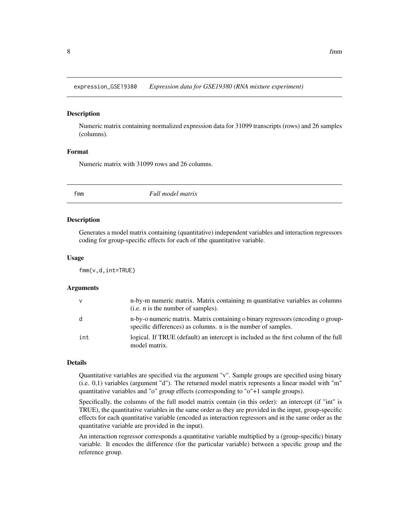<span id="page-7-0"></span>expression\_GSE19380 *Expression data for GSE19380 (RNA mixture experiment)*

#### Description

Numeric matrix containing normalized expression data for 31099 transcripts (rows) and 26 samples (columns).

#### Format

Numeric matrix with 31099 rows and 26 columns.

<span id="page-7-1"></span>

fmm *Full model matrix*

#### Description

Generates a model matrix containing (quantitative) independent variables and interaction regressors coding for group-specific effects for each of tthe quantitative variable.

#### Usage

fmm(v,d,int=TRUE)

#### **Arguments**

| V   | n-by-m numeric matrix. Matrix containing m quantitative variables as columns<br>(i.e. n is the number of samples).                               |
|-----|--------------------------------------------------------------------------------------------------------------------------------------------------|
| d   | n-by-o numeric matrix. Matrix containing o binary regressors (encoding o group-<br>specific differences) as columns, n is the number of samples. |
| int | logical. If TRUE (default) an intercept is included as the first column of the full<br>model matrix.                                             |

#### Details

Quantitative variables are specified via the argument "v". Sample groups are specified using binary (i.e. 0,1) variables (argument "d"). The returned model matrix represents a linear model with "m" quantitative variables and "o" group effects (corresponding to "o"+1 sample groups).

Specifically, the columns of the full model matrix contain (in this order): an intercept (if "int" is TRUE), the quantitative variables in the same order as they are provided in the input, group-specific effects for each quantitative variable (encoded as interaction regressors and in the same order as the quantitative variable are provided in the input).

An interaction regressor corresponds a quantitative variable multiplied by a (group-specific) binary variable. It encodes the difference (for the particular variable) between a specific group and the reference group.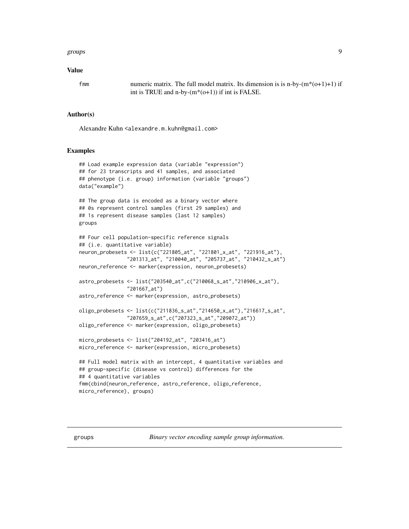#### <span id="page-8-0"></span>groups and the set of the set of the set of the set of the set of the set of the set of the set of the set of the set of the set of the set of the set of the set of the set of the set of the set of the set of the set of th

#### Value

fmm numeric matrix. The full model matrix. Its dimension is is n-by- $(m*(o+1)+1)$  if int is TRUE and n-by- $(m<sup>*</sup>(o+1))$  if int is FALSE.

#### Author(s)

Alexandre Kuhn <alexandre.m.kuhn@gmail.com>

# Examples

```
## Load example expression data (variable "expression")
## for 23 transcripts and 41 samples, and associated
## phenotype (i.e. group) information (variable "groups")
data("example")
## The group data is encoded as a binary vector where
## 0s represent control samples (first 29 samples) and
## 1s represent disease samples (last 12 samples)
groups
## Four cell population-specific reference signals
## (i.e. quantitative variable)
neuron_probesets <- list(c("221805_at", "221801_x_at", "221916_at"),
                "201313_at", "210040_at", "205737_at", "210432_s_at")
neuron_reference <- marker(expression, neuron_probesets)
astro_probesets <- list("203540_at",c("210068_s_at","210906_x_at"),
                "201667_at")
astro_reference <- marker(expression, astro_probesets)
oligo_probesets <- list(c("211836_s_at","214650_x_at"),"216617_s_at",
                "207659_s_at",c("207323_s_at","209072_at"))
oligo_reference <- marker(expression, oligo_probesets)
micro_probesets <- list("204192_at", "203416_at")
micro_reference <- marker(expression, micro_probesets)
## Full model matrix with an intercept, 4 quantitative variables and
## group-specific (disease vs control) differences for the
## 4 quantitative variables
fmm(cbind(neuron_reference, astro_reference, oligo_reference,
micro_reference), groups)
```
groups *Binary vector encoding sample group information.*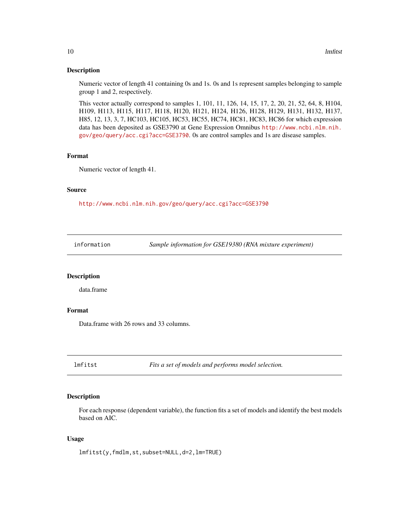#### <span id="page-9-0"></span>Description

Numeric vector of length 41 containing 0s and 1s. 0s and 1s represent samples belonging to sample group 1 and 2, respectively.

This vector actually correspond to samples 1, 101, 11, 126, 14, 15, 17, 2, 20, 21, 52, 64, 8, H104, H109, H113, H115, H117, H118, H120, H121, H124, H126, H128, H129, H131, H132, H137, H85, 12, 13, 3, 7, HC103, HC105, HC53, HC55, HC74, HC81, HC83, HC86 for which expression data has been deposited as GSE3790 at Gene Expression Omnibus [http://www.ncbi.nlm.nih.](http://www.ncbi.nlm.nih.gov/geo/query/acc.cgi?acc=GSE3790) [gov/geo/query/acc.cgi?acc=GSE3790](http://www.ncbi.nlm.nih.gov/geo/query/acc.cgi?acc=GSE3790). 0s are control samples and 1s are disease samples.

# Format

Numeric vector of length 41.

#### Source

<http://www.ncbi.nlm.nih.gov/geo/query/acc.cgi?acc=GSE3790>

information *Sample information for GSE19380 (RNA mixture experiment)*

#### Description

data.frame

#### Format

Data.frame with 26 rows and 33 columns.

<span id="page-9-1"></span>lmfitst *Fits a set of models and performs model selection.*

#### Description

For each response (dependent variable), the function fits a set of models and identify the best models based on AIC.

#### Usage

lmfitst(y,fmdlm,st,subset=NULL,d=2,lm=TRUE)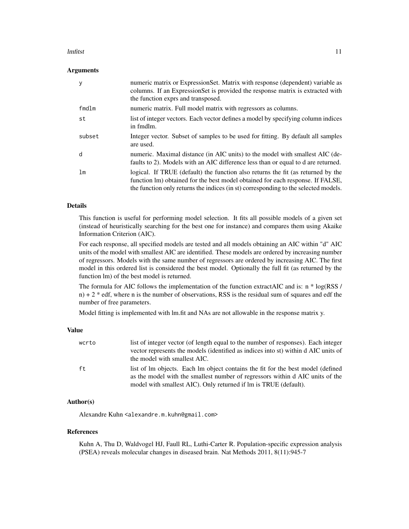#### lmfitst the contract of the contract of the contract of the contract of the contract of the contract of the contract of the contract of the contract of the contract of the contract of the contract of the contract of the co

#### Arguments

|        | numeric matrix or ExpressionSet. Matrix with response (dependent) variable as<br>columns. If an ExpressionSet is provided the response matrix is extracted with<br>the function exprs and transposed.                                                     |
|--------|-----------------------------------------------------------------------------------------------------------------------------------------------------------------------------------------------------------------------------------------------------------|
| fmdlm  | numeric matrix. Full model matrix with regressors as columns.                                                                                                                                                                                             |
| st     | list of integer vectors. Each vector defines a model by specifying column indices<br>in fmdlm.                                                                                                                                                            |
| subset | Integer vector. Subset of samples to be used for fitting. By default all samples<br>are used.                                                                                                                                                             |
| d      | numeric. Maximal distance (in AIC units) to the model with smallest AIC (de-<br>faults to 2). Models with an AIC difference less than or equal to d are returned.                                                                                         |
| lm     | logical. If TRUE (default) the function also returns the fit (as returned by the<br>function lm) obtained for the best model obtained for each response. If FALSE,<br>the function only returns the indices (in st) corresponding to the selected models. |

# Details

This function is useful for performing model selection. It fits all possible models of a given set (instead of heuristically searching for the best one for instance) and compares them using Akaike Information Criterion (AIC).

For each response, all specified models are tested and all models obtaining an AIC within "d" AIC units of the model with smallest AIC are identified. These models are ordered by increasing number of regressors. Models with the same number of regressors are ordered by increasing AIC. The first model in this ordered list is considered the best model. Optionally the full fit (as returned by the function lm) of the best model is returned.

The formula for AIC follows the implementation of the function extractAIC and is: n \* log(RSS /  $n + 2$  \* edf, where n is the number of observations, RSS is the residual sum of squares and edf the number of free parameters.

Model fitting is implemented with lm.fit and NAs are not allowable in the response matrix y.

### Value

| wcrto | list of integer vector (of length equal to the number of responses). Each integer<br>vector represents the models (identified as indices into st) within d AIC units of<br>the model with smallest AIC.                              |
|-------|--------------------------------------------------------------------------------------------------------------------------------------------------------------------------------------------------------------------------------------|
| ft.   | list of lm objects. Each lm object contains the fit for the best model (defined<br>as the model with the smallest number of regressors within d AIC units of the<br>model with smallest AIC). Only returned if lm is TRUE (default). |

#### Author(s)

Alexandre Kuhn <alexandre.m.kuhn@gmail.com>

#### References

Kuhn A, Thu D, Waldvogel HJ, Faull RL, Luthi-Carter R. Population-specific expression analysis (PSEA) reveals molecular changes in diseased brain. Nat Methods 2011, 8(11):945-7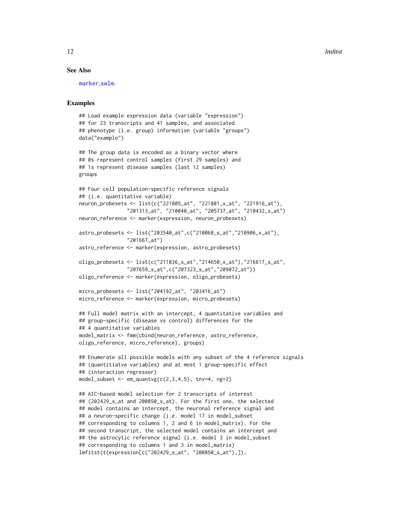<span id="page-11-0"></span>12 **lmfitst** 

#### See Also

[marker](#page-12-1),[swlm](#page-16-1).

```
## Load example expression data (variable "expression")
## for 23 transcripts and 41 samples, and associated
## phenotype (i.e. group) information (variable "groups")
data("example")
## The group data is encoded as a binary vector where
## 0s represent control samples (first 29 samples) and
## 1s represent disease samples (last 12 samples)
groups
## Four cell population-specific reference signals
## (i.e. quantitative variable)
neuron_probesets <- list(c("221805_at", "221801_x_at", "221916_at"),
                "201313_at", "210040_at", "205737_at", "210432_s_at")
neuron_reference <- marker(expression, neuron_probesets)
astro_probesets <- list("203540_at",c("210068_s_at","210906_x_at"),
                "201667_at")
astro_reference <- marker(expression, astro_probesets)
oligo_probesets <- list(c("211836_s_at","214650_x_at"),"216617_s_at",
                "207659_s_at",c("207323_s_at","209072_at"))
oligo_reference <- marker(expression, oligo_probesets)
micro_probesets <- list("204192_at", "203416_at")
micro_reference <- marker(expression, micro_probesets)
## Full model matrix with an intercept, 4 quantitative variables and
## group-specific (disease vs control) differences for the
## 4 quantitative variables
model_matrix <- fmm(cbind(neuron_reference, astro_reference,
oligo_reference, micro_reference), groups)
## Enumerate all possible models with any subset of the 4 reference signals
## (quantitiatve variables) and at most 1 group-specific effect
## (interaction regressor)
model_subset \leq em_quantvg(c(2,3,4,5), tnv=4, ng=2)
## AIC-based model selection for 2 transcripts of interest
## (202429_s_at and 200850_s_at). For the first one, the selected
## model contains an intercept, the neuronal reference signal and
## a neuron-specific change (i.e. model 17 in model_subset
## corresponding to columns 1, 2 and 6 in model_matrix). For the
## second transcript, the selected model contains an intercept and
## the astrocytic reference signal (i.e. model 3 in model_subset
## corresponding to columns 1 and 3 in model_matrix)
lmfitst(t(expression[c("202429_s_at", "200850_s_at"),]),
```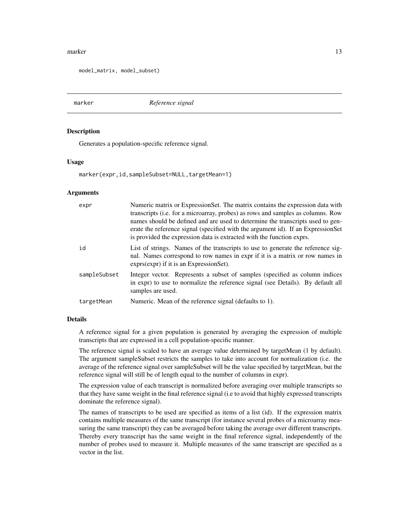#### <span id="page-12-0"></span>marker and the contract of the contract of the contract of the contract of the contract of the contract of the contract of the contract of the contract of the contract of the contract of the contract of the contract of the

model\_matrix, model\_subset)

<span id="page-12-1"></span>

marker *Reference signal*

#### Description

Generates a population-specific reference signal.

#### Usage

marker(expr,id,sampleSubset=NULL,targetMean=1)

#### Arguments

| expr         | Numeric matrix or ExpressionSet. The matrix contains the expression data with<br>transcripts (i.e. for a microarray, probes) as rows and samples as columns. Row<br>names should be defined and are used to determine the transcripts used to gen-<br>erate the reference signal (specified with the argument id). If an ExpressionSet<br>is provided the expression data is extracted with the function exprs. |
|--------------|-----------------------------------------------------------------------------------------------------------------------------------------------------------------------------------------------------------------------------------------------------------------------------------------------------------------------------------------------------------------------------------------------------------------|
| id           | List of strings. Names of the transcripts to use to generate the reference sig-<br>nal. Names correspond to row names in expr if it is a matrix or row names in<br>exprs(expr) if it is an ExpressionSet).                                                                                                                                                                                                      |
| sampleSubset | Integer vector. Represents a subset of samples (specified as column indices)<br>in expr) to use to normalize the reference signal (see Details). By default all<br>samples are used.                                                                                                                                                                                                                            |
| targetMean   | Numeric. Mean of the reference signal (defaults to 1).                                                                                                                                                                                                                                                                                                                                                          |

# Details

A reference signal for a given population is generated by averaging the expression of multiple transcripts that are expressed in a cell population-specific manner.

The reference signal is scaled to have an average value determined by targetMean (1 by default). The argument sampleSubset restricts the samples to take into account for normalization (i.e. the average of the reference signal over sampleSubset will be the value specified by targetMean, but the reference signal will still be of length equal to the number of columns in expr).

The expression value of each transcript is normalized before averaging over multiple transcripts so that they have same weight in the final reference signal (i.e to avoid that highly expressed transcripts dominate the reference signal).

The names of transcripts to be used are specified as items of a list (id). If the expression matrix contains multiple measures of the same transcript (for instance several probes of a microarray measuring the same transcript) they can be averaged before taking the average over different transcripts. Thereby every transcript has the same weight in the final reference signal, independently of the number of probes used to measure it. Multiple measures of the same transcript are specified as a vector in the list.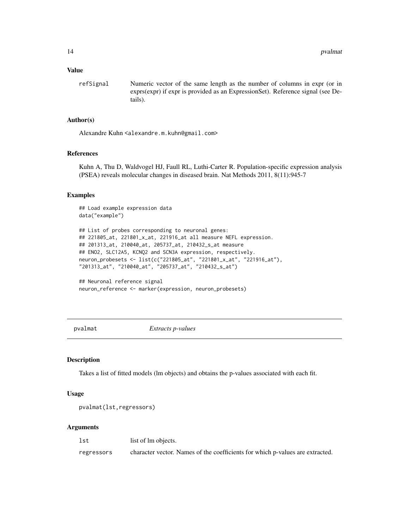#### <span id="page-13-0"></span>Value

refSignal Numeric vector of the same length as the number of columns in expr (or in exprs(expr) if expr is provided as an ExpressionSet). Reference signal (see Details).

#### Author(s)

Alexandre Kuhn <alexandre.m.kuhn@gmail.com>

#### References

Kuhn A, Thu D, Waldvogel HJ, Faull RL, Luthi-Carter R. Population-specific expression analysis (PSEA) reveals molecular changes in diseased brain. Nat Methods 2011, 8(11):945-7

#### Examples

```
## Load example expression data
data("example")
## List of probes corresponding to neuronal genes:
## 221805_at, 221801_x_at, 221916_at all measure NEFL expression.
## 201313_at, 210040_at, 205737_at, 210432_s_at measure
## ENO2, SLC12A5, KCNQ2 and SCN3A expression, respectively.
neuron_probesets <- list(c("221805_at", "221801_x_at", "221916_at"),
"201313_at", "210040_at", "205737_at", "210432_s_at")
## Neuronal reference signal
```

```
neuron_reference <- marker(expression, neuron_probesets)
```
<span id="page-13-1"></span>pvalmat *Extracts p-values*

# Description

Takes a list of fitted models (lm objects) and obtains the p-values associated with each fit.

#### Usage

```
pvalmat(lst,regressors)
```
#### Arguments

lst list of lm objects.

regressors character vector. Names of the coefficients for which p-values are extracted.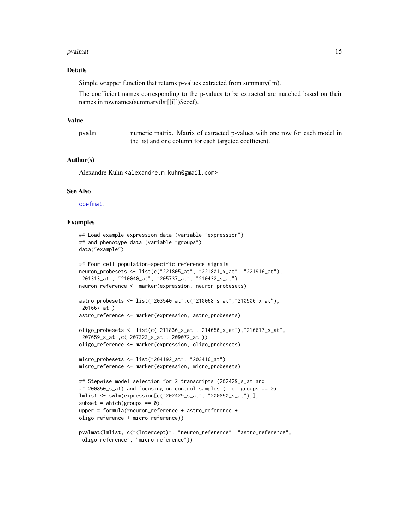#### <span id="page-14-0"></span>pvalmat the contract of the contract of the contract of the contract of the contract of the contract of the contract of the contract of the contract of the contract of the contract of the contract of the contract of the co

#### Details

Simple wrapper function that returns p-values extracted from summary(lm).

The coefficient names corresponding to the p-values to be extracted are matched based on their names in rownames(summary(lst[[i]])\$coef).

#### Value

pvalm numeric matrix. Matrix of extracted p-values with one row for each model in the list and one column for each targeted coefficient.

# Author(s)

Alexandre Kuhn <alexandre.m.kuhn@gmail.com>

# See Also

[coefmat](#page-1-1).

```
## Load example expression data (variable "expression")
## and phenotype data (variable "groups")
data("example")
## Four cell population-specific reference signals
neuron_probesets <- list(c("221805_at", "221801_x_at", "221916_at"),
"201313_at", "210040_at", "205737_at", "210432_s_at")
neuron_reference <- marker(expression, neuron_probesets)
```

```
astro_probesets <- list("203540_at",c("210068_s_at","210906_x_at"),
"201667_at")
astro_reference <- marker(expression, astro_probesets)
```

```
oligo_probesets <- list(c("211836_s_at","214650_x_at"),"216617_s_at",
"207659_s_at",c("207323_s_at","209072_at"))
oligo_reference <- marker(expression, oligo_probesets)
```

```
micro_probesets <- list("204192_at", "203416_at")
micro_reference <- marker(expression, micro_probesets)
```

```
## Stepwise model selection for 2 transcripts (202429_s_at and
## 200850_s_at) and focusing on control samples (i.e. groups == 0)
lmlist <- swlm(expression[c("202429_s_at", "200850_s_at"),],
subset = which(groups == 0),
upper = formula(~neuron_reference + astro_reference +
oligo_reference + micro_reference))
```

```
pvalmat(lmlist, c("(Intercept)", "neuron_reference", "astro_reference",
"oligo_reference", "micro_reference"))
```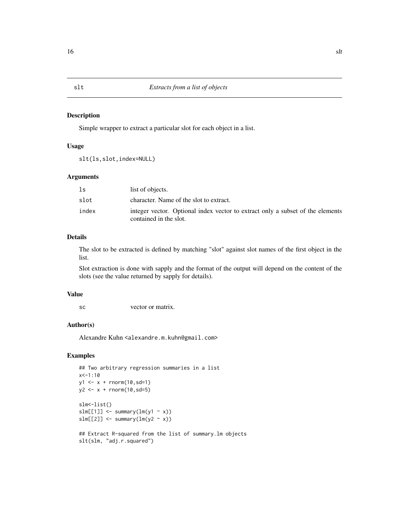#### Description

Simple wrapper to extract a particular slot for each object in a list.

# Usage

```
slt(ls,slot,index=NULL)
```
### Arguments

| ls    | list of objects.                                                                                         |
|-------|----------------------------------------------------------------------------------------------------------|
| slot  | character. Name of the slot to extract.                                                                  |
| index | integer vector. Optional index vector to extract only a subset of the elements<br>contained in the slot. |

# Details

The slot to be extracted is defined by matching "slot" against slot names of the first object in the list.

Slot extraction is done with sapply and the format of the output will depend on the content of the slots (see the value returned by sapply for details).

#### Value

sc vector or matrix.

#### Author(s)

Alexandre Kuhn <alexandre.m.kuhn@gmail.com>

```
## Two arbitrary regression summaries in a list
x < -1:10y1 \leq x + \text{norm}(10, \text{sd}=1)y2 \leq x + \text{norm}(10, \text{sd}=5)slm<-list()
slm[[1]] \leftarrow summary(ln(y1 \sim x))slm[[2]] \leftarrow summary(lm(y2 \sim x))
## Extract R-squared from the list of summary.lm objects
slt(slm, "adj.r.squared")
```
<span id="page-15-0"></span>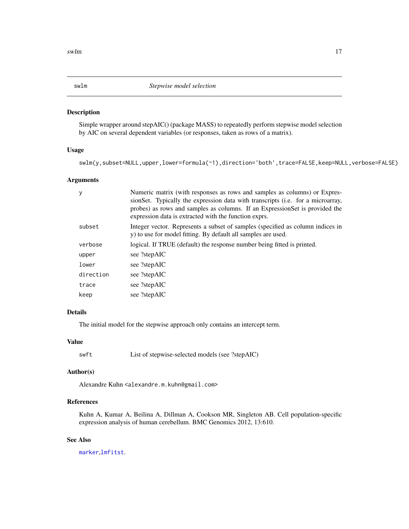<span id="page-16-1"></span><span id="page-16-0"></span>

#### Description

Simple wrapper around stepAIC() (package MASS) to repeatedly perform stepwise model selection by AIC on several dependent variables (or responses, taken as rows of a matrix).

# Usage

```
swlm(y,subset=NULL,upper,lower=formula(~1),direction='both',trace=FALSE,keep=NULL,verbose=FALSE)
```
# Arguments

|           | Numeric matrix (with responses as rows and samples as columns) or Expres-<br>sionSet. Typically the expression data with transcripts (i.e. for a microarray,<br>probes) as rows and samples as columns. If an ExpressionSet is provided the<br>expression data is extracted with the function exprs. |
|-----------|------------------------------------------------------------------------------------------------------------------------------------------------------------------------------------------------------------------------------------------------------------------------------------------------------|
| subset    | Integer vector. Represents a subset of samples (specified as column indices in<br>y) to use for model fitting. By default all samples are used.                                                                                                                                                      |
| verbose   | logical. If TRUE (default) the response number being fitted is printed.                                                                                                                                                                                                                              |
| upper     | see ?stepAIC                                                                                                                                                                                                                                                                                         |
| lower     | see ?stepAIC                                                                                                                                                                                                                                                                                         |
| direction | see ?stepAIC                                                                                                                                                                                                                                                                                         |
| trace     | see ?stepAIC                                                                                                                                                                                                                                                                                         |
| keep      | see ?stepAIC                                                                                                                                                                                                                                                                                         |

# Details

The initial model for the stepwise approach only contains an intercept term.

# Value

| swft | List of stepwise-selected models (see ?stepAIC) |  |
|------|-------------------------------------------------|--|
|------|-------------------------------------------------|--|

# Author(s)

Alexandre Kuhn <alexandre.m.kuhn@gmail.com>

# References

Kuhn A, Kumar A, Beilina A, Dillman A, Cookson MR, Singleton AB. Cell population-specific expression analysis of human cerebellum. BMC Genomics 2012, 13:610.

# See Also

[marker](#page-12-1),[lmfitst](#page-9-1).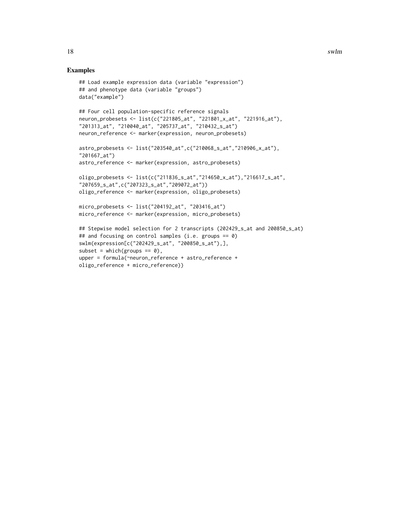```
## Load example expression data (variable "expression")
## and phenotype data (variable "groups")
data("example")
## Four cell population-specific reference signals
neuron_probesets <- list(c("221805_at", "221801_x_at", "221916_at"),
"201313_at", "210040_at", "205737_at", "210432_s_at")
neuron_reference <- marker(expression, neuron_probesets)
astro_probesets <- list("203540_at",c("210068_s_at","210906_x_at"),
"201667_at")
astro_reference <- marker(expression, astro_probesets)
oligo_probesets <- list(c("211836_s_at","214650_x_at"),"216617_s_at",
"207659_s_at",c("207323_s_at","209072_at"))
oligo_reference <- marker(expression, oligo_probesets)
micro_probesets <- list("204192_at", "203416_at")
micro_reference <- marker(expression, micro_probesets)
## Stepwise model selection for 2 transcripts (202429_s_at and 200850_s_at)
## and focusing on control samples (i.e. groups == \theta)
swlm(expression[c("202429_s_at", "200850_s_at"),],
subset = which(groups == 0),
upper = formula(~neuron_reference + astro_reference +
oligo_reference + micro_reference))
```